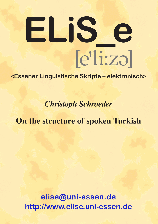# $[e']$ i:zə $]$ **ELiS \_ e**

## **<Essener Linguistische Skripte – elektronisch>**

*Christoph Schroeder*

# **On the structure of spoken Turkish**

**[elise@uni-essen.de](mailto:elise@uni-essen.de) <http://www.elise.uni-essen.de>**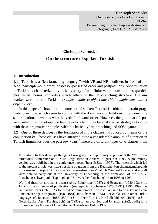### **Christoph Schroeder On the structure of spoken Turkish**

#### **1. Introduction**

-

**1.1** Turkish is a "left-branching language" with VP and NP modifiers in front of the head, participle-noun order, possessor-possessed order and postpositions. Subordination in Turkish is characterized by a rich variety of non-finite verbal constructions (participles, verbal nouns, converbs) which adhere to the left-branching structure. The unmarked word order in Turkish is *subject - indirect object/adverbial complement - direct object - verb*.

In this paper, I show that the structure of spoken Turkish is subject to certain pragmatic principles which seem to collide with the dominance of left-branching, non-finite subordination, as well as with the verb-final word order. However, the grammar of spoken Turkish has developed certain devices which may be analyzed as strategies to cope with these pragmatic principles **within** a basically left-branching and SOV-syntax.<sup>1</sup>

**1.2** One of these devices is the formation of finite clauses introduced by means of the conjunction *ki*. These clauses have attracted quite a considerable amount of attention in Turkish linguistics over the past few years.<sup>2</sup> There are different types of *ki*-clauses. I am

<sup>1</sup> This article further develops thoughts I was given the opportunity to present at the "VIIIth International Conference on Turkish Linguistics" in Ankara, August 7-9, 1996. A preliminary version was published in the conference papers (İmer & Uzun 1997). The research which led to the present article was made possible by grants from the Deutsche Forschungsgemeinschaft for a research project "Attributive Verbalkonstruktionen" which Winfried Boeder and myself were able to carry out at the University of Oldenburg in the framework of the "DFG-Forschungsschwerpunkt Typologie und Universalienforschung" from 1996 to 1999.

<sup>2</sup> We find these constructions discussed by Bainbridge (1987) and Erguvanlı (1980-1981), by Johanson in a number of publications (see especially Johanson 1975 [1991], 1996, 1999), as well as by Sezer (1978). As for the diachronic process in which *ki* came to be a Turkish conjunction see again Erguvanlı (1980-1981) and Johanson (1996). For *ki*-clauses in other Turkic languages cf. Johanson (1988: 250) on *ki* in Azeri Turkish, Kiral-Shahidi Asl (1991) on *ki* in North-Iranian Azeri Turkish, Schönig (1993) for an overview and Johanson (1992: 264f.) for a discussion. For the use of *ki* in Ottoman Turkish see Bulut (1997).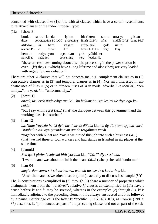concerned with clauses like (1)a, i.e. with *ki*-clauses which have a certain resemblance to relative clauses of the Indo-European type:

 $(1)a$  [show 3]

| bunlar santral-lar-da islem bit-tikten                          |  |  |  |                                                                          |  |              | sonra orta-ya cik-an<br>these power.station-PL-LOC processing finish-CONV after middle-DAT come-PRT |
|-----------------------------------------------------------------|--|--|--|--------------------------------------------------------------------------|--|--------------|-----------------------------------------------------------------------------------------------------|
| atık-lar ki hem yaşam süre-ler-i çok<br>residue-PL $ki$ as well |  |  |  | life time-PL-POSS very                                                   |  | uzun<br>long |                                                                                                     |
| hem de<br>as.well.as                                            |  |  |  | radyasyon açısından çok yüklü-ler<br>radiation concerning very loaden-PL |  |              |                                                                                                     |

"these are residues coming about after the processing in the power station is over...  $(ki)$  they ( $\sim$  which) have a long lifetime and also (they) are very loaded with regard to their radiation"

There are other *ki*-clauses that will not concern me, e.g. complement clauses as in (2), consecutive clauses as in (3) and temporal clauses as in (4). Nor am I interested in emphatic uses of *ki* as in (5) or in "frozen" uses of *ki* in modal adverbs like *tabii ki*... "certainly...", *ne yazık ki*... "unfortunately...".

 $(2)$  [news-1]

*ancak, üzülerek ifade ediyorum* ki.*.. bu hükümetin işçi kesimi ile diyalogu kopuktur* 

"but I say with regret (*ki*...) (that) the dialogue between this government and the working class is disturbed"

(3) [ism-12]

*biz Nihat Yavuzla bu işi öyle bir ticarete döktük* ki... *eh üç dört tane işçimiz vardı İstanbulun altı ayrı yerinde aynı günde tezgahımız vardı*

"together with Nihat and Yavuz we turned this job into such a business (*ki*...) (that) we had three or four workers and had stands in Istanbul in six places at the same time"

(4) [pamuk]

*Ben içeri gittim fasulyemi bitiriyordum* ki*... "Çöz!" diye seslendi.* 

"I went in and was about to finish the beans *(ki*...) (when) she said "undo me!"

 $(5)$  [ism-04]

*maçlardan sonra sık sık tartışırız... aslında tartışmak o kadar boş* ki..*.* 

"After the matches we often discuss (them).. actually to discuss is so stupid  $(ki)$ "

The *ki*-constructions exemplified in (2) through (5) share a number of properties which distinguish them from the "relatives": relative *ki*-clauses as exemplified in (1)a have a pause **before** *ki* and *ki* may be stressed, whereas in the examples (2) through (5), *ki* is immediately adjoined to the preceding element, it is always unstressed and it is **followed** by a pause. Bainbridge calls the latter *ki* "enclitic" (1987: 49). It is, as Comrie (1981a: 85) describes it, "pronounced as part of the preceding clause, and not as part of the sub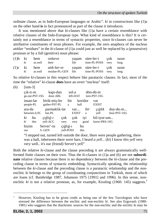ordinate clause, as in Indo-European languages or Arabic". *ki* in constructions like (1)a on the other hand **is** in fact pronounced as part of the clause it introduces.

It was mentioned above that *ki-*clauses like (1)a have a certain resemblance with relative clauses of the Indo-European type. What kind of resemblance is this? It is certainly not a resemblance in terms of syntactic properties, since *ki*-clauses can never be attributive constituents of noun phrases. For example, the zero anaphora of the nucleus *atıklar* "residues" in the *ki*-clause of (1)a could just as well be replaced by a (possessive) pronoun or by a full (genitive) noun phrase:

|    | $(1)$ b ki hem <i>onlarin</i><br>ki as.well their |                                                                                                                  | yasam süre-ler-i cok uzun<br>life time-PL-POSS very long |  |
|----|---------------------------------------------------|------------------------------------------------------------------------------------------------------------------|----------------------------------------------------------|--|
| ki |                                                   | $(1)c$ ki hem <i>atik-lar-in</i> yasam süre-ler-i cok uzun<br>as.well residue-PL-GEN life time-PL-POSS very long |                                                          |  |

So relative *ki*-clauses in this respect behave like paratactic clauses. In fact, most of the time the "relative" *ki*-clause **does** have an overt "nucleus" itself:

 $(6)$   $[ism-3]$ 

| $c1k-t1-m$<br>go.out-PST-1SG | kapi-dan<br>door-ABL           |                           | sol-a<br>left-DAT   |             | dön-dü-m<br>$turn-PST-1SG$  |                          |
|------------------------------|--------------------------------|---------------------------|---------------------|-------------|-----------------------------|--------------------------|
| insan-lar<br>people-PL       | birik-miş-ler<br>gather-PST-PL | bir<br>a                  | hall                | koridor     | var<br><b>EXIST</b>         |                          |
| ara-da<br>between-LOC        | parmaklık-lar<br>bar-PL        |                           | var<br><b>EXIST</b> | bir<br>a    | ciğlik<br>yell              | duy-du-m<br>hear-PST-1SG |
| ki<br>bu<br>ki<br>this       | $\alpha$ ğlığ-ı<br>yell-ACC    | $\cosh$<br>very           | $\cosh$<br>very     | ivi<br>good | bil-iyor-um<br>know-PRS-1SG |                          |
| bizim<br>our                 | Server'-in<br>S.-GEN           | $c_1$ ğlığ-1<br>vell-POSS |                     | bu<br>this  |                             |                          |

"I stepped out, turned left outside the door, there were people gathering, there was a hall, inbetween there were bars, I heard *a yell*... (*ki*) I know *this yell* very very well.. it's our (friend) Server's yell"

Both the relative *ki*-clause and the clause preceding it are always grammatically wellformed finite clauses on their own. Thus the *ki*-clauses in (1)a and (6) are not **subordinate** relative clauses because there is no dependency between the *ki*-clause and the preceding clause in terms of syntactic embedding. Syntactically speaking, the relationship between the *ki*-clause and the preceding clause is a paratactic relationship and the nonenclitic *ki* belongs to the group of coordinating conjunctions in Turkish, most of which are loans (cf. Bainbridge 1987, Johanson 1975 [1991] and 1996). In this sense, nonenclitic  $ki$  is not a relative pronoun, as, for example, Kissling (1960: 145) suggests.<sup>3</sup>

j

<sup>3</sup> However, Kissling has to be given credit as being one of the few Turcologists who have stressed the difference between the enclitic and non-enclitic *ki*. See also Erguvanlı (1980- 1981) who suggests that the diachronic sources for the non-enclitic and the enclitic *ki* may be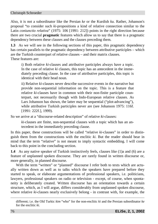Also, it is not a subordinator like the Persian *ke* or the Kurdish *ku*. Rather, Johanson's proposal "to consider such *ki*-propositions a kind of relative connection similar to the Latin *coniunctio relativa*" (1975: 106 [1991: 212]) points in the right direction because there are two crucial **pragmatic** features which allow us to say that there is a pragmatic dependency between these clauses and the clauses preceding them.

**1.3** As we will see in the following sections of this paper, this pragmatic dependency has certain parallels to the pragmatic dependency between attributive participles – which are the Turkish counterpart of relative clauses – and their matrix clauses. These features are:

i) Both relative *ki*-clauses and attributive participles always have a topic. In the case of relative *ki* clauses, this topic has an antecedent in the immediately preceding clause. In the case of attributive participles, this topic is identical with their head noun.

ii) Relative *ki*-clauses never describe successive events in the narrative but provide non-sequential information on the topic. This is a feature that relative *ki*-clauses have in common with their non-finite participle counterpart, not necessarily though with Indo-European relative clauses. As Lars Johanson has shown, the latter may be sequential ("plot-advancing"), while attributive Turkish participles never are (see Johanson 1975: 116f. [1991: 222f.], 1999).

So we arrive at a "discourse-related description" of relative *ki*-clauses:

*ki*-clauses are finite, non-sequential clauses with a topic which has an antecedent in the immediately preceding clause.

In this paper, these constructions will be called "relative *ki*-clauses" in order to distinguish them from the constructions with the enclitic *ki*. But the reader should bear in mind that the term "relative" is not meant to imply syntactic embedding. I will come back to this point in the concluding section.

**1.4** As any native speaker of Turkish instinctively feels, clauses like (1)a and (6) are a feature of unplanned spoken discourse. They are rarely found in written discourse or, more generally, in planned discourse.

With the term "written" or "planned" discourse I refer both to texts which are actually written down as well as to talks which the speakers have prepared before they started to speak, or elaborate argumentations of professional speakers, i.e. politicians, lawyers, professional speakers on radio or television - except, of course, when spontaneity is deliberately created. Written discourse has an orientation towards a certain structure, which, as I will argue, differs considerably from unplanned spoken discourse, where relative *ki-*clauses nearly exclusively belong - in contrast with, for example, the

different; i.e. the Old Turkic *kim* "who" for the non-enclitic *ki* and the Persian subordinator *ke* for the enclitic *ki*.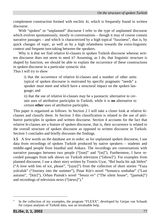complement construction formed with enclitic *ki*, which is frequently found in written discourse.

With "spoken" or "unplanned" discourse I refer to the type of unplanned discourse which evolves spontaneously, mostly in conversations – though it may of course contain narrative passages – and which is characterized by a high topical "fuzziness", that is, by quick changes of topic, as well as by a high relatedness towards the extra-linguistic context and frequent turn-taking between the speakers.

Why is it that we find relative *ki*-clauses in spoken Turkish discourse whereas written discourse does not seem to need it? Assuming, as I do, that linguistic structure is shaped by function, we should be able to explain the occurrence of these constructions in spoken discourse in a particular syntactic slot.

Thus I will try to show

i) that the occurrence of relative *ki*-clauses and a number of other units typical of spoken discourse is motivated by specific pragmatic "needs" a speaker must meet and which have a structural impact on the spoken language; and

ii) that the use of relative *ki*-clauses may be a paratactic alternative to certain uses of attributive participles in Turkish, while it is **no** alternative to certain **other** uses of attributive participles.

This paper is organized as follows: In Section 2 I will take a closer look at relative *ki*clauses and classify them. In Section 3 this classification is related to the use of attributive participles in spoken and written discourse. Section 4 accounts for the fact that relative *ki*-clauses are a feature of spoken discourse, that is, their occurrence is related to the overall structure of spoken discourse as opposed to written discourse in Turkish. Section 5 concludes and briefly discusses the findings.

**1.5** A few words on the database are in order: as for unplanned spoken discourse, I use data from recordings of spoken Turkish produced by native speakers – students and middle-aged people from Istanbul and Ankara. The recordings are conversations with narrative passages between two people ("[ism]" and "[m]"). Furthermore, I have recorded passages from talk shows on Turkish television ("[show]"). For examples from planned discourse, I use a short story written by Tomris Uyar, "Bol buzlu bir aşk lütfen" ("A love with lots of ice, please", "[uyar]") from the collection of short stories "Yaza yolculuk" ("Journey into the summer"), Pinar Kür's novel "Sonuncu sonbahar" ("Last autumn", "[kür]"), Orhan Pamuk's novel "Sessiz ev" ("The silent house", "[pamuk]") and recordings of television news (" $[news]$ ").<sup>4</sup>

<sup>4</sup> In the collection of my examples, the program "FLEXX", developed by Gerjan van Schaaik for corpus analyses of Turkish data, was an invaluable help.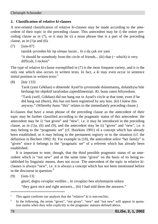#### **2. Classification of relative** *ki***-clauses**

A text-related classification of relative *ki*-clauses may be made according to the antecedent of their topic in the preceding clause. This antecedent may be i) the entire preceding clause as in (7), or it may be ii) a noun phrase that is a part of the preceding clause, as in  $(1)$ a and  $(6)$ .

 $(7)$   $[ism-07]$ 

tanıdık çevreden bir tip olması lazım... *ki* o da çok zor yani

"it should be somebody from the circle of friends...  $(ki)$  that  $(\sim$  which) is very difficult, I reckon"

The type of relative *ki*-clause exemplified in (7) is the most frequent variety, and it is the only one which also occurs in written texts. In fact, a *ki* may even occur in sentence initial position in written texts: $5$ 

(8) [kür 133]

Tarık (yani Gökhan) o dönemde Aysel'in çevresinde dolanmamış, dolandıysa bile herhangi bir objektif tarafından zaptedilmemişti. *Ki*, bunu zaten biliyordum.

"Tarık (well, Gökhan) did not hang out in Aysel's circle at that time, even if he did hang out (there), this has not been registered by any lens. (*ki*) I knew this anyway." (Whereby *bunu* "this" relates to the immediately preceding clause.)

*ki*-clauses that have a noun phrase of the preceding clause as the antecedent of their topic may be further classified according to the pragmatic status of this antecedent: the antecedent may be i) "not given" and "new", i.e. it may be introduced in the preceding clause, as in  $(1)a$ ,  $(6)$  and  $(9)$ , and the antecedent may be ii) "given" and "new", i.e. it may belong to the "pragmatic set" (cf. Hawkins 1991) of a concept which has already been established, or it may belong to the permanent registry or to the situation (cf. the definition in Bechert 1992: 8). For example in (10), the antecedent *ailesi* "her family" is "given" since it belongs to the "pragmatic set" of a referent which has already been established.

It is important to note, though, that the third possible pragmatic status of an antecedent which is "not new" and at the same time "given" on the basis of its being established by linguistic means, does not occur. The antecedent of the topic in relative *ki*clauses is always "new", i.e. it is always a concept which has not been mentioned before in the discourse in question.<sup>6</sup>

(9) [ism-13]

güzel, doğru cevaplar verdiler... *ki* cevapları ben söylemiştim onlara "they gave nice and right answers... (*ki*) I had told them the answers."

<sup>5</sup> This again confirms our analysis that the "relative" *ki* is non-enclitic.

<sup>6</sup> In the following, the terms "given", "not given", "new" and "not new" will appear in quotation marks when they refer explicitly to the pragmatic statuses defined above.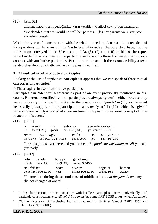(10) [ism-01]

ailesine haber vermiyeceğimize karar verdik... *ki* ailesi çok tutucu insanlardı

"we decided that we would not tell her parents... (*ki*) her parents were very conservative people"

While the type of *ki*-construction with the whole preceding clause as the antecedent of its topic does not have an infinite "participle" alternative, the other two have, i.e. the information conveyed in the  $ki$  clauses in  $(1)a$ ,  $(6)$ ,  $(9)$  and  $(10)$  could also be represented in the form of an attributive participle and it is only these *ki*-clauses that properly contrast with attributive participles. But in order to establish their comparability a textrelated classification of attributive participles is required.

#### **3. Classification of attributive participles**

Looking at the use of attributive participles it appears that we can speak of three textual categories of participles:<sup>7</sup>

i) The **anaphoric** use of attributive participles:

Participles can "identify" a referent as part of an event previously mentioned in discourse. Referents identified by these participles are always "given" – either because they were previously introduced in relation to this event, as *mal* "goods" in (11), or the event necessarily presupposes their participation, as *sene* "year" in (12), which is "given" since an event which occurred at a certain time in the past implies some concept of time related to this event:<sup>8</sup>

(11) [m 11]

| $\mathbf{O}$<br>he | oraya<br>there(DAT) |            | mal<br>goods       | sat-acak | sell-FUT(3SG)        |            | sengel-iyor-sun<br>you come-PRS-2SG |
|--------------------|---------------------|------------|--------------------|----------|----------------------|------------|-------------------------------------|
| onun<br>his(GEN)   |                     | sat-acağ-ı | sell-PRT(FUT)-POSS |          | $mal-i$<br>goods-ACC | sen<br>vou | sat-1yor-sun<br>sell-PRS-2SG        |

"he sells goods over there and you come... *the goods he was about to sell* you sell (instead)"

(12) [m 32]

j

| orta<br>middle | iki-de<br>two-LOC | buraya<br>here(DAT) | gel-di-m<br>come-PST-1SG   |                        |                  |
|----------------|-------------------|---------------------|----------------------------|------------------------|------------------|
| gel-diğ-im     | come-PRT-POSS.1SG | sene<br>year        | sive-m<br>dialect-POSS.1SG | değiş-ti<br>change-PST | hemen<br>at.once |

"I came here during the second class of middle school... *in the year I came* my dialect changed at once"

<sup>7</sup> In this classification I am not concerned with headless participles, nor with adverbially used participle constructions, e.g. *Ali gel-diğ-i zaman* (A. come-PRT-POSS time) "when Ali came".

<sup>8</sup> Cf. the discussion of "exclusive indirect anaphora" in Erkü & Gundel (1987: 535) and Schroeder (1995: 210f.).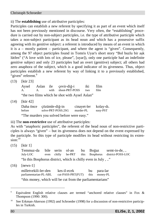ii) The **establishing** use of attributive participles:

Participles can establish a new referent by specifying it as part of an event which itself has not been previously mentioned in discourse. Very often, the "establishing" procedure is carried out by non-subject participles, i.e. the type of attributive participle which takes a non-subject participant as its head noun and which has a possessive suffix agreeing with its genitive subject: a referent is introduced by means of an event in which it is a – mostly patient – participant, and where the agent is "given". Consequently, among the 97 object participles found in Tomris Uyar's short story "Bol buzlu bir aşk lütfen" ("A love with lots of ice, please", [uyar]), only one participle had an indefinite genitive subject and only 23 participles had an overt (genitive) subject; all others had zero anaphora of the subject, which is a good indicator of its givenness. Thus, object participles establish a new referent by way of linking it to a previously established, "given" referent.<sup>9</sup>

(13) [kür 23]

Aysel Aslan ile çevir-diğ-i iki film A. A. with shoot-PRT-POSS two "the two films which he shot with Aysel Aslan"

(14) [kür 42]

Daha önce çözümle-di<sup>ğ</sup>-in cinayet-ler kolay-dı. before solve-PRT-POSS.2SG murder-PL easy-PST "The murders you solved before were easy."

iii) The **non**-**restrictive** use of attributive participles:

As with "anaphoric participles", the referent of the head noun of non-restrictive participles is always "given" – but its givenness does not depend on the event expressed by the participle. So this type of participle modifies its head without restricting its exten $sion<sup>-10</sup>$ 

(15) [kür 1]

Temmuz-da bile serin ol-an bu Boğaz semt-in-de, .. July-LOC even chilly be-PRT this Bosphorus district-POSS-LOC "In this Bosphorus district, which is chilly even in July , .."

(16) [news-1]

| milletvekili-ler-den   | kes-il-ecek       | bu para-lar   |
|------------------------|-------------------|---------------|
| parliamentarian-PL-ABL | cut-PASS-PRT(FUT) | this money-PL |

"this money, which will be cut from the parliamentarians"

<sup>9</sup> Equivalent English relative clauses are termed "anchored relative clauses" in Fox & Thompson (1990: 300).

<sup>&</sup>lt;sup>10</sup> See Erkman-Akerson (1992) and Schroeder (1998) for a discussion of non-restrictive participles in Turkish.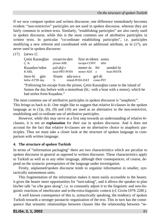If we now compare spoken and written discourse, one difference immediately becomes evident: "non-restrictive" participles are not used in spoken discourse, whereas they are fairly common in written texts. Similarly, "establishing participles" are also rarely used in spoken discourse, while this is the most common use of attributive participles in written texts. In particular "co-ordinate establishing participles", i.e. participles modifying a new referent and coordinated with an additional attribute, as in (17), are never used in spoken discourse:

(17) [news-1]

| Çetin Karaoğlan<br>Ç. K.      | cezaevin-den<br>prison-ABL     |           | firar et-tikten sonra<br>escape-CONV |                     | after                   |
|-------------------------------|--------------------------------|-----------|--------------------------------------|---------------------|-------------------------|
| Kuşadası'ndan<br>K'ABL        | $cal$ -dığ-ı<br>steal-PRT-POSS |           | <i>motor-lu bir</i><br>motor-ADJ a   |                     | sandal-la<br>boat-INSTR |
| önce-ki gün<br>befor-ATTR day | Sisam<br>S.                    | ada-sın-a | island-POSS-DAT                      | gel-di.<br>come-PST |                         |
|                               |                                |           |                                      |                     |                         |

"Following his escape from the prison, Çetin Karaoğlan came to the island of Samos the day before with a motorboat (lit.: with a boat with a motor), which he had stolen from Kuşadası."

The most common use of attributive participles in spoken discourse is "anaphoric". This brings us back to *ki*. One might like to suggest that relative *ki*-clauses in the spoken language as in  $(1)a$ ,  $(6)$ ,  $(9)$  and  $(10)$  are used as an alternative to the non-restrictive, establishing and co-ordinate use of attributive participles.

However, while this may serve as a first step towards an understanding of relative *ki*clauses, it is not an **explanation** for their use in spoken discourse. And it does not account for the fact that relative *ki*-clauses are no alternative choice to anaphoric participles. Thus we must take a closer look at the structure of spoken language in comparison with written language.

#### **4. The structure of spoken Turkish**

In terms of "information packaging" there are two characteristics which are peculiar to spoken discourse in general as opposed to written discourse. These characteristics apply to Turkish as well as to any other language, although their consequences, of course, depend on the syntactic prerequisites of the language under investigation.

Firstly, unplanned/spoken discourse tends to organize information in smaller, syntactically autonomous units.

This fragmentation of the information makes it more easily accessible to the hearer, it gives the hearer more opportunities for "turn-taking", and it allows the speaker to plan his/her talk "as s/he goes along", i.e. to constantly adjust it to the linguistic and non-linguistic reactions of interlocutor and to the extra-linguistic context (cf. Givón 1979: 228f.).

A well known consequence of this is, syntactically speaking, the tendency of spoken Turkish towards a stronger paratactic organization of the text. This in turn has the consequence that semantic relationships between clauses like the relationship between "se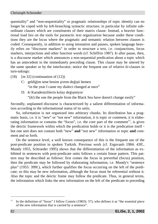quentiality" and "non-sequentiality" or pragmatic relationships of topic identity can no longer be coped with by left-branching syntactic structure, in particular by infinite subordinate clauses which are constituents of their matrix clause. Instead, a heavier functional load lies on the tools for paratactic text organization because under these conditions they are the locus where the pragmatic and semantic relation between clauses is coded. Consequently, in addition to using intonation and pauses, spoken language heavily relies on "discourse markers" in order to structure a text, i.e. conjunctions, focus markers, interjections and other function words (cf. Schiffrin 1987). *ki* after pause, then, is a discourse marker which announces a non-sequential predication about a topic which has an antecedent in the immediately preceding clause. This clause may be uttered by the same speaker or by the interlocutor; notice the frequent use of relative *ki-*clauses in turn-takings:

- $(18)$  [m 32] (continuation of  $(12)$ )
	- C: geldiğim sene benim şivem değişti hemen "in the year I came my dialect changed at once"
	- D: *ki* Karadenizlilerin kolay değişmiyor "(*ki*) the one the people from the Black Sea have doesn't change easily"

Secondly, unplanned discourse is characterized by a salient differentiation of information according to the informational status of its units.

So, information is not organized into arbitrary chunks. Its distribution has a pragmatic basis, i.e. it is "new" or "not new" information, it is topic or comment, it is elaborating information or contains the "focus", i.e. the core part of the comment<sup>11</sup>, is gives the deictic framework within which the predication holds or it is the predication itself but one unit does not contain both "new" **and** "not new" information or topic **and** comment and so forth.

On the sentence level, a well known consequence of this is the frequent use of the post-predicate position in spoken Turkish. Previous work (cf. Erguvanlı 1984: 43ff., Mundy 1955, Schroeder 1995) shows that the differentiation of the information as exhibited in sentences with post-predicate units follows a certain linear pattern. This pattern may be described as follows: first comes the focus in preverbal (focus) position, then the predicate may be followed by elaborating information, i.e. Mundy's "sentence plus" (1955: 399f.), which further qualifies the focus occurring on the left of the predicate; so this may be new information, although the focus must be referential without it. Also the topic and the deictic frame may follow the predicate. Thus, in general terms, the information which links the new information on the left of the predicate to preceding

<sup>&</sup>lt;sup>11</sup> In the definition of "focus" I follow Comrie (1981b: 57), who defines it as "the essential piece of the new information that is carried by a sentence".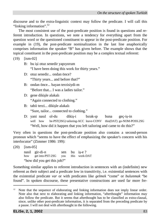discourse and to the extra-linguistic context may follow the predicate. I will call this "linking information".<sup>12</sup>

The most consistent use of the post-predicate position is found in questions and referent introduction. In questions, we note a tendency for everything apart from the question word or the questioned constituent to appear in the post-predicate position. For example in (19), the post-predicate nominalization in the last line anaphorically comprises information the speaker "B" has given before. The example shows that the topical constituent in the post-predicate position may be a complex textual referent:

(19) [ism-02]

- B: bu işi otuz senedir yapıyorum "I have been doing this work for thirty years."
- D: otuz senedir... ondan önce? "Thirty years... and before that?"
- B: ondan önce... bayan terzisiydi-m "Before that... I was a ladies tailor."
- D: gene dikişle alakalı "Again connected to clothing."
- B: tabii terzi... dikişle alakalı "Sure, tailor... connected to clothing."
- D: yani nasıl ol-du dikiş-i bırak-ıp buna geç-iş-in well how be-PST(3SG) tailoring-ACC leave-CONV this(DAT) go-NOM-POSS.2SG "Well, how did it happen that you left tailoring and came to do this?"

Very often in questions the post-predicate position also contains a second-person pronoun which "seems to have the effect of emphasizing the speaker's concern with his interlocutor" (Zimmer 1986: 199):

(20) [ism-05] nasil gir-di-n sen bu iş-e ?<br>how get into-PST-2SG you this work-DAT get into-PST-2SG you "how did you get this job?"

Something similar applies to referent introduction in sentences with an (indefinite) new referent as their subject and a predicate low in transitivity, i.e. existential sentences with the existential predicate *var* or with predicates like *gelmek* "come" or *bulunmak* "be found". In spoken discourse, these presentative constructions are used far more fre-

Note that the sequence of elaborating and linking information does not imply linear order. Note also that next to elaborating and linking information, "afterthought" information may also follow the predicate. But it seems that afterthought has to be classified as extra-clausal, since, unlike other post-predicate information, it is separated from the preceding predicate by a pause. I will not deal with afterthought in the following.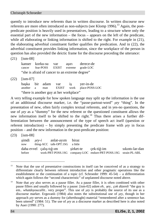quently to introduce new referents than in written discourse. In written discourse new referents are more often introduced as non-subjects (see Klomp 1996).<sup>13</sup> Again, the postpredicate position is heavily used in presentatives, leading to a structure where only the essential part of the new information – the focus – appears on the left of the predicate, while all elaborating or linking information is shifted to the right. For example in (21), the elaborating adverbial constituent further qualifies the predication. And in (22), the adverbial constituent provides linking information, since the workplace of the person in question has also provided the deictic frame for the discourse preceding the utterance:

(21) [ism-08]

kanser korku-su var aşırı derece-de cancer fear-POSS EXIST extreme grade-LOC "she is afraid of cancer to an extreme degree"

(22) [ism-07]

başka bir adam var iş yer-in-de another a man EXIST work place-POSS-LOC "there is another guy at her workplace"

A very telling example for how spoken language may split up the information is the use of an additional discourse marker, i.e. the "passe-partout-word" *şey* "thing". In the presentation of new, often fairly complex textual referents, and in yes-no questions, the use of *şey* as a "dummy" for the new referent or the questioned constituent allows the new information itself to be shifted to the right.<sup>14</sup> Thus there arises a further differentiation between the announcement of the type of speech act itself (question or referent introduction) – by simply presenting the predicate frame with *şey* in focus position – and the new information in the post-predicate position:

(23) [ism-08]

şimdi *şey-i* anlat-ayım biraz now thing-ACC talk-OPT.1SG a little daha evvel çalış-tığ-ım şirket-te çek-tiğ-im sıkıntı-lar-dan before work-PRT-POSS.1SG company-LOC endure-PRT-POSS.1SG strain-PL-ABL

<sup>&</sup>lt;sup>13</sup> Note that the use of presentative constructions in itself can be conceived of as a strategy to differentiate clearly between referent introduction and other pragmatic operations like the establishment or the continuation of a topic (cf. Schroeder 1999: 45-54) – a differentiation which again follows the "second characteristic" of unplanned discourse noted above.

<sup>&</sup>lt;sup>14</sup> Note that *sey* also serves as a pause filler. As a pause filler, it is often combined with other pause fillers and usually followed by a pause: [ism-02] *adam eh..* şey*.. çok düzenli* "the guy is em.. *whatdoyoucallit*.. very proper". This use of *şey* is probably the source of its use as a discourse marker. Erguvanlı (1984) also notes the substitutional use of *şey*, though in her approach *şey* serves as a dummy for (afterthought) material "remembered after a sentence has been uttered" (1984: 51). The use of *şey* as a discourse marker as described here is also noted by Auer (1990: 277).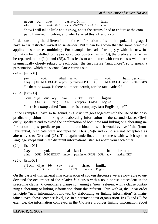neden bu iş-e başla-dığ-ımı falan<br>why this work-DAT start-PRT-POSS.1SG-ACC soon why this work-DAT start-PRT-POSS.1SG-ACC so on "now I will talk a little about *thing*, about the strains I had to endure at the company I worked in before, and why I started this job and so on"

In demonstrating the differentiation of the information units in the spoken language I have so far restricted myself to **sentences**. But it can be shown that the same principle applies to **sentence combining**. For example, instead of using *şey* with the new information being shifted to the post-predicate position, as in (23), the predicate frame can be repeated, as in (24)a and (25)a. This leads to a structure with two clauses which are pragmatically closely related to each other: the first clause "announces", so to speak, a presentation, which the second clause carries out:

(24)a [ism-01]

*şey* mi yok ithal izn-i mi yok ham deri-nin? thing QUE NEG.EXIST import permission-POSS QUE NEG.EXIST raw leather-GEN "is there no *thing*, is there no import permit, for the raw leather?"

(25)a [ism-08]

Tom diye *bir şey* var şirket var İngiliz<br>T. OUO a thing EXIST company EXIST English T. QUO a thing EXIST company EXIST English "there is a *thing* called Tom, there is a company, (an) English (one)"

In the examples I have so far found, this structure goes together with the use of the postpredicate position for linking or elaborating information in the second clause. Obviously, speakers end to avoid the combination of both new **and** linking or elaborating information in post-predicate position – a combination which would evolve if the ([non-  $\exists$  [existential] predicate were not repeated. Thus  $(24)b$  and  $(25)b$  are not acceptable as alternatives to (24) and (25). This again underlines the strictness with which spoken language keeps units with different informational statuses apart from each other:

(24)b [ism-01]

?*şey* mi yok ithal izn-i mi ham deri-nin thing QUE NEG.EXIST import permission-POSS QUE raw leather-GEN (25)b [ism-08] ? Tom diye *bir şey* var şirket İngiliz T. QUO a thing EXIST company English

On the basis of this general characterization of spoken discourse we are now able to understand the occurrence of the relative *ki*-clauses with a noun phrase antecedent in the preceding clause: *ki* combines a clause containing a "new" referent with a clause containing elaborating or linking information about this referent. Thus with *ki*, the linear order principle "new information followed by elaborating or linking information" is maintained even above sentence level, i.e. in a paratactic text organization. In (6) and (9) for example, the information conveyed in the *ki*-clause provides linking information about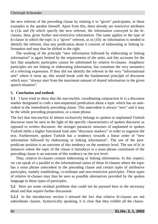the new referent of the preceding clause by relating it to "given" participants, in these examples to the speaker himself. Apart from this, there already are restrictive attributes in (1)a and (9) which specify the new referent; the information conveyed in the *ki*clauses, then, gives further non-restrictive information. The same applies to the type of *ki*-clause in which the topic is a "given" referent, as in (10): no information is needed to identify the referent, thus any predication about it consists of elaborating or linking information and may thus be shifted to the right.

The working of the principle "new information followed by elaborating or linking information" is again limited by the requirements of the units; and this accounts for the fact that anaphoric participles cannot be substituted by relative *ki*-clauses. Anaphoric participles are not linking or elaborating information, but constitute the very semantics of a referring expression. If they did not identify the referent in the very "informational unit" where it turns up, this would break with the fundamental principle of discourse which says: "always start from the maximum amount of shared information in the given speech situation".

#### **5. Conclusion and outlook**

**5.1** I have tried to show that the non-enclitic coordinating conjunction *ki* is a discourse marker designated to code a non-sequential predication about a topic which has an antecedent in the immediately preceding clause. This antecedent is always "new" and it may be the whole preceding proposition, or a noun phrase.

The fact that non-enclitic *ki* almost exclusively belongs to spoken or unplanned Turkish discourse must be seen in the light of the specific characteristics of spoken discourse as opposed to written discourse: the stronger paratactic structure of unplanned or spoken Turkish shifts a higher functional load onto "discourse markers" in order to organize the text. Furthermore, spoken Turkish has a tendency towards a linear order of "new information followed by elaborating or linking information". The use of the postpredicate position is an outcome of this tendency on the sentence level. The use of *ki* in instances where the topic of the clause it introduces is a noun phrase constituent of the preceding clause is an outcome of this tendency on the text level.

Thus, relative *ki*-clauses contain elaborating or linking information. In this respect, we can speak of a parallel to the informational status of those *ki*-clauses where the topic has a noun phrase antecedent in the preceding clause and certain types of attributive participles, namely establishing, co-ordinate and non-restrictive participles. These types of relative *ki*-clauses may thus be seen as possible alternatives provided by the spoken language to these types of participles.

**5.2** Here are some residual problems that could not be pursued here in the necessary detail and that require further discussion:

**5.2.1** In the introductory section I stressed the fact that relative *ki*-clauses are not subordinate clauses. Syntactically speaking, it is clear that they exhibit all the charac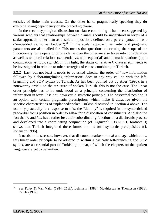teristics of finite main clauses. On the other hand, pragmatically speaking they **do** exhibit a strong dependency on the preceding clause.

In the recent typological discussion on clause-combining it has been suggested by various scholars that relationships between clauses should be understood in terms of a scalar approach rather than as absolute oppositions defined on a purely syntactic basis ("embedded vs. non-embedded").<sup>15</sup> In the scalar approach, semantic and pragmatic parameters are also called for. This means that questions concerning the scope of the illocutionary force operator of one clause over the other are also taken into consideration as well as temporal relations (sequential vs. non-sequential) and thematic relations (topic continuation vs. topic switch). In this light, the status of relative *ki*-clauses still needs to be investigated in relation to other strategies of clause combining in Turkish.

**5.2.2** Last, but not least it needs to be asked whether the order of "new information followed by elaborating/linking information" does in any way collide with the leftbranching and SOV syntax of Turkish. As has been pointed out by Auer (1990), in a noteworthy article on the structure of spoken Turkish, this is not the case. The linear order principle has to be understood as a principle concerning the distribution of information in texts. It is not, however, a syntactic principle. The postverbal position is an option with certain pragmatic prescriptions which make it attractive given the specific characteristics of unplanned/spoken Turkish discussed in Section 4 above. The use of *şey* actually is a response to this: the "dummy" is required in the syntacticized pre-verbal focus position in order to **allow** for a dislocation of constituents. And also the fact that *ki* and *kim* have rather **lost** their subordinating functions in a diachronic process and developed into a coordinating conjunction (cf. Erguvanlı 1980-1981, footnote 3) shows that Turkish integrated these forms into its own syntactic prerequisites (cf. Johanson 1996).

It needs to be stressed, however, that discourse markers like *ki* and *şey*, which allow this linear order principle to be adhered to **within** a basically left-branching and SOV syntax, are an essential part of Turkish grammar, of which the chapters on the **spoken** language are yet to be written.

<sup>&</sup>lt;sup>15</sup> See Foley & Van Valin (1984: 256f.), Lehmann (1988), Matthiessen & Thompson (1988), Raible (1992).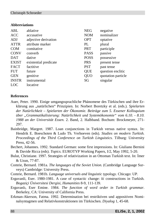#### **Abbreviations**

| ABL          | ablative              | <b>NEG</b>  | negative           |
|--------------|-----------------------|-------------|--------------------|
| <b>ACC</b>   | accusative            | <b>NOM</b>  | nominalizer        |
| ADJ          | adjective derivation  | <b>OPT</b>  | optative           |
| <b>ATTR</b>  | attribute marker      | PL          | plural             |
| <b>COM</b>   | comitative            | <b>PRT</b>  | participle         |
| <b>CONV</b>  | converb               | <b>PASS</b> | passive            |
| <b>DAT</b>   | dative                | <b>POSS</b> | possessive         |
| <b>EXIST</b> | existential predicate | <b>PRS</b>  | present tense      |
| <b>FACT</b>  | factitive             | <b>PST</b>  | past tense         |
| <b>FUT</b>   | future                | <b>QUE</b>  | question enclitic  |
| <b>GEN</b>   | genitive              | QUO         | quotation particle |
| <b>INSTR</b> | instrumental          | SG          | singular           |
| LOC          | locative              |             |                    |

#### **References**

- Auer, Peter. 1990. Einige umgangssprachliche Phänomene des Türkischen und ihre Erklärung aus "natürlichen" Prinzipien. In: Norbert Boretzky et al. (eds.). *Spielarten der Natürlichkeit – Spielarten der Ökonomie. Beiträge zum 5. Essener Kolloquium über "Grammatikalisierung: Natürlichkeit und Systemökonomie" vom 6.10. - 8.10. 1988 an der Universität Essen.* 2. Band, 2. Halbband. Bochum: Brockmeyer, 271- 297.
- Bainbridge, Margret. 1987. Loan conjunctions in Turkish versus native syntax. In: Hendrik E. Boeschoten & Ludo Th. Verhoeven (eds). *Studies on modern Turkish. Proceedings of the Third Conference on Turkish Linguistics.* Tilburg: University Press, 42-56.
- Bechert, Johannes. 1992. Standard German: some first impressions. In: Giuliano Bernini & Davide Ricca (eds). *Topics*. EUROTYP Working Papers, I/2, May 1992, 5-20.
- Bulut, Christiane. 1997. Strategies of relativization in an Ottoman Turkish text. In: İmer & Uzun, 77-87.
- Comrie, Bernard. 1981a. *The languages of the Soviet Union.* (Cambridge Language Surveys) Cambridge: University Press.
- Comrie, Bernard. 1981b. *Language universals and linguistic typology.* Chicago: UP.
- Erguvanli, Eser. 1980-1981. A case of syntactic change: *ki* constructions in Turkish. *Bogaziçi Üniversitesi Dergisi, Humanities* 8-9, 111-139.
- Erguvanlı, Eser Emine. 1984. *The function of word order in Turkish grammar*. Berkeley, CA: University of California Press.
- Erkman-Akerson, Fatma. 1992. Determination bei restriktiven und appositiven Nominalsyntagmen und Relativkonstruktionen im Türkischen. *Diyalog* 1, 45-68.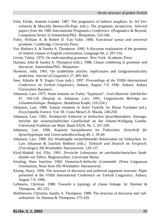- Erkü, Feride, Jeanette Gundel. 1987. The pragmatics of indirect anaphors. In: Jef Verschueren & Marcella Bertuccelli-Papi. (eds.). *The pragmatic perspective. Selected papers from the 1985 International Pragmatics Conference.* (Pragmatics & Beyond, Companion Series 5) Amsterdam/Phil.: Benjamins, 533-546.
- Foley, William A. & Robert D. Van Valin. 1984. *Functional syntax and universal grammar.* Cambridge: University Press.
- Fox, Barbara A. & Sandra A. Thompson. 1990. A discourse explanation of the grammar of relative clauses in English conversation. *Language* 66, 2, 297-316.
- Givón, Talmy. 1979. *On understanding grammar.* New York: Academic Press.
- Haiman, John & Sandra A. Thompson (eds.). 1988. *Clause combining in grammar and discourse.* Amsterdam/Phil.: Benjamins.
- Hawkins, John. 1991. On (in)definite articles: implicatures and (un)grammaticality prediction. *Journal of Linguistics* 27, 405-442.
- İmer, Kâmile & N. Engin Uzun (eds.). 1997. *Proceedings of the VIIIth International Conference on Turkish Linguistics, Ankara, August 7-9, 1996*. Ankara: Ankara Üniversitesi Basımevi.
- Johanson, Lars. 1975. Some remarks on Turkic "hypotaxis". *Ural-Altaische Jahrbücher* 47, 104-118. (Reprint in: Johanson, Lars. 1991. *Linguistische Beiträge zur Gesamtturkologie.* Budapest: Akadémiai Kiadó, 210-224.)
- Johanson, Lars. 1988. Iranian elements in Azeri Turkish. In: Ehsan Yarshater (ed.). *Encyclopedia Iranica.* Vol. III. Costa Mesa/CA: Mazda, 248-250.
- Johanson, Lars. 1992. *Strukturelle Faktoren in türkischen Sprachkontakten.* Sitzungsberichte der wissenschaftlichen Gesellschaft an der Johann-Wolfgang Goethe-Universität Frankfurt am Main. Band XXIX, Nr. 5, 167-299.
- Johanson, Lars. 1996. Kopierte Satzjunktoren im Türkischen. *Zeitschrift für Sprachtypologie und Universalienforschung* 49, 1, 39-49.
- Johanson, Lars. 1999. Zur Wiedergabe weiterführender Relativsätze im Türkischen. In: Lars Johanson & Joachim Rehbein (eds.). *Türkisch und Deutsch im Vergleich.* (Turcologica 39) Wiesbaden: Harrassowitz, 129-137.
- Kiral-Shahidi Asl, Filiz. 1991. *Persische Lehnsyntax im aserbaidschanischen Stadtdialekt von Täbriz.* Magisterarbeit, Universität Mainz.
- Kissling, Hans Joachim. 1960. *Osmanisch-türkische Grammatik.* (Porta Linguarum Orientalium, Neue Serie III) Wiesbaden: Harrassowitz.
- Klomp, Harry. 1996. The structure of discourse and preferred argument structure. Paper presented at the VIIIth International Conference on Turkish Linguistics, Ankara, August 7-9, 1996.
- Lehmann, Christian. 1988. Towards a typology of clause linkage. In: Haiman & Thompson, 181-225.
- Matthiessen, Christian, Sandra A. Thompson. 1988. The structure of discourse and 'subordination'. In: Haiman & Thompson, 275-329.